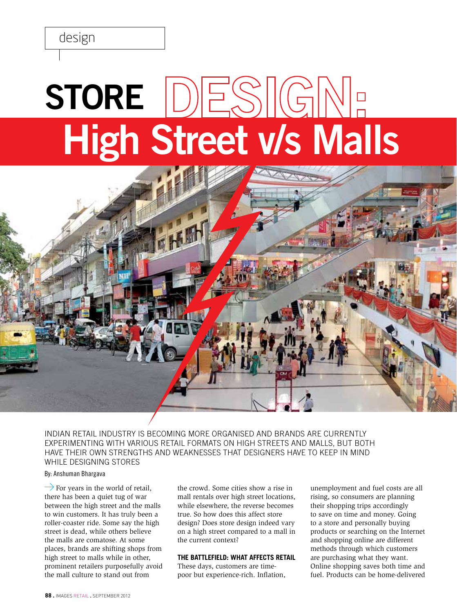# **High Street v/s Malls Store**



INDIAN RETAIL INDUSTRY IS BECOMING MORE ORGANISED AND BRANDS ARE currently EXPERIMENTING WITH VARIOUS RETAIL FORMATS on high streets and malls, but both have their own strengths and weaknesses that designers have to keep in mind while designing stores

## By: Anshuman Bhargava

 $\rightarrow$  For years in the world of retail, there has been a quiet tug of war between the high street and the malls to win customers. It has truly been a roller-coaster ride. Some say the high street is dead, while others believe the malls are comatose. At some places, brands are shifting shops from high street to malls while in other, prominent retailers purposefully avoid the mall culture to stand out from

the crowd. Some cities show a rise in mall rentals over high street locations, while elsewhere, the reverse becomes true. So how does this affect store design? Does store design indeed vary on a high street compared to a mall in the current context?

## **The Battlefield: What Affects Retail**

These days, customers are timepoor but experience-rich. Inflation,

unemployment and fuel costs are all rising, so consumers are planning their shopping trips accordingly to save on time and money. Going to a store and personally buying products or searching on the Internet and shopping online are different methods through which customers are purchasing what they want. Online shopping saves both time and fuel. Products can be home-delivered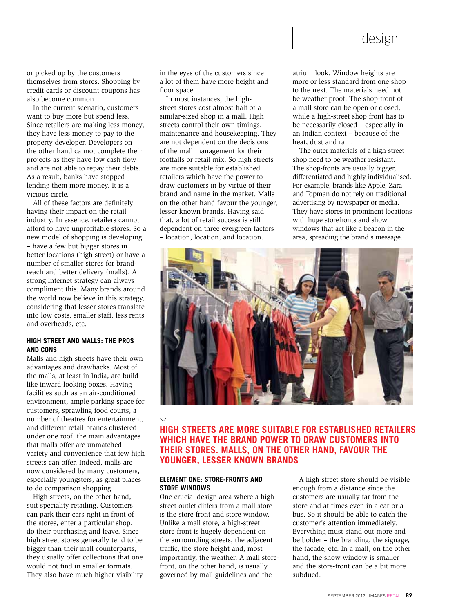# design

or picked up by the customers themselves from stores. Shopping by credit cards or discount coupons has also become common.

In the current scenario, customers want to buy more but spend less. Since retailers are making less money, they have less money to pay to the property developer. Developers on the other hand cannot complete their projects as they have low cash flow and are not able to repay their debts. As a result, banks have stopped lending them more money. It is a vicious circle.

All of these factors are definitely having their impact on the retail industry. In essence, retailers cannot afford to have unprofitable stores. So a new model of shopping is developing – have a few but bigger stores in better locations (high street) or have a number of smaller stores for brandreach and better delivery (malls). A strong Internet strategy can always compliment this. Many brands around the world now believe in this strategy, considering that lesser stores translate into low costs, smaller staff, less rents and overheads, etc.

## **High Street and Malls: The pros and cons**

Malls and high streets have their own advantages and drawbacks. Most of the malls, at least in India, are build like inward-looking boxes. Having facilities such as an air-conditioned environment, ample parking space for customers, sprawling food courts, a number of theatres for entertainment, and different retail brands clustered under one roof, the main advantages that malls offer are unmatched variety and convenience that few high streets can offer. Indeed, malls are now considered by many customers, especially youngsters, as great places to do comparison shopping.

High streets, on the other hand, suit speciality retailing. Customers can park their cars right in front of the stores, enter a particular shop, do their purchasing and leave. Since high street stores generally tend to be bigger than their mall counterparts, they usually offer collections that one would not find in smaller formats. They also have much higher visibility in the eyes of the customers since a lot of them have more height and floor space.

In most instances, the highstreet stores cost almost half of a similar-sized shop in a mall. High streets control their own timings, maintenance and housekeeping. They are not dependent on the decisions of the mall management for their footfalls or retail mix. So high streets are more suitable for established retailers which have the power to draw customers in by virtue of their brand and name in the market. Malls on the other hand favour the younger, lesser-known brands. Having said that, a lot of retail success is still dependent on three evergreen factors – location, location, and location.

atrium look. Window heights are more or less standard from one shop to the next. The materials need not be weather proof. The shop-front of a mall store can be open or closed, while a high-street shop front has to be necessarily closed – especially in an Indian context – because of the heat, dust and rain.

The outer materials of a high-street shop need to be weather resistant. The shop-fronts are usually bigger, differentiated and highly individualised. For example, brands like Apple, Zara and Topman do not rely on traditional advertising by newspaper or media. They have stores in prominent locations with huge storefronts and show windows that act like a beacon in the area, spreading the brand's message.



## $\downarrow$ **High streets are more suitable for established retailers which have the brand power to draw customers into their stores. malls, on the other hand, favour the younger, lesser known brands**

## **Element One: Store-fronts and Store Windows**

One crucial design area where a high street outlet differs from a mall store is the store-front and store window. Unlike a mall store, a high-street store-front is hugely dependent on the surrounding streets, the adjacent traffic, the store height and, most importantly, the weather. A mall storefront, on the other hand, is usually governed by mall guidelines and the

A high-street store should be visible enough from a distance since the customers are usually far from the store and at times even in a car or a bus. So it should be able to catch the customer's attention immediately. Everything must stand out more and be bolder – the branding, the signage, the facade, etc. In a mall, on the other hand, the show window is smaller and the store-front can be a bit more subdued.